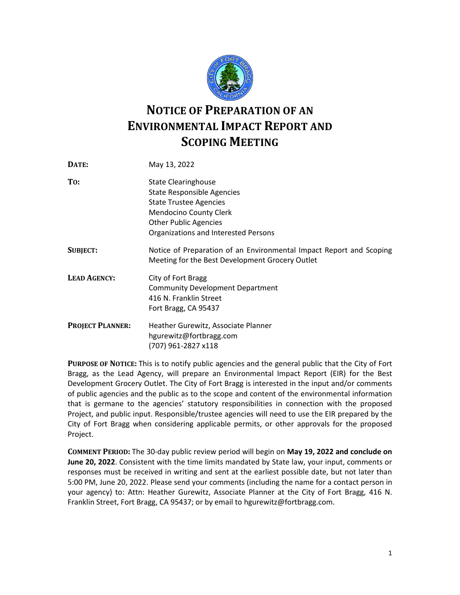

## **NOTICE OF PREPARATION OF AN ENVIRONMENTAL IMPACT REPORT AND SCOPING MEETING**

| DATE:                   | May 13, 2022                                                                                                                                                                                              |
|-------------------------|-----------------------------------------------------------------------------------------------------------------------------------------------------------------------------------------------------------|
| To:                     | <b>State Clearinghouse</b><br><b>State Responsible Agencies</b><br><b>State Trustee Agencies</b><br><b>Mendocino County Clerk</b><br><b>Other Public Agencies</b><br>Organizations and Interested Persons |
| <b>SUBJECT:</b>         | Notice of Preparation of an Environmental Impact Report and Scoping<br>Meeting for the Best Development Grocery Outlet                                                                                    |
| <b>LEAD AGENCY:</b>     | City of Fort Bragg<br><b>Community Development Department</b><br>416 N. Franklin Street<br>Fort Bragg, CA 95437                                                                                           |
| <b>PROJECT PLANNER:</b> | Heather Gurewitz, Associate Planner<br>hgurewitz@fortbragg.com<br>(707) 961-2827 x118                                                                                                                     |

**PURPOSE OF NOTICE:** This is to notify public agencies and the general public that the City of Fort Bragg, as the Lead Agency, will prepare an Environmental Impact Report (EIR) for the Best Development Grocery Outlet. The City of Fort Bragg is interested in the input and/or comments of public agencies and the public as to the scope and content of the environmental information that is germane to the agencies' statutory responsibilities in connection with the proposed Project, and public input. Responsible/trustee agencies will need to use the EIR prepared by the City of Fort Bragg when considering applicable permits, or other approvals for the proposed Project.

**COMMENT PERIOD:** The 30-day public review period will begin on **May 19, 2022 and conclude on June 20, 2022**. Consistent with the time limits mandated by State law, your input, comments or responses must be received in writing and sent at the earliest possible date, but not later than 5:00 PM, June 20, 2022. Please send your comments (including the name for a contact person in your agency) to: Attn: Heather Gurewitz, Associate Planner at the City of Fort Bragg, 416 N. Franklin Street, Fort Bragg, CA 95437; or by email to hgurewitz@fortbragg.com.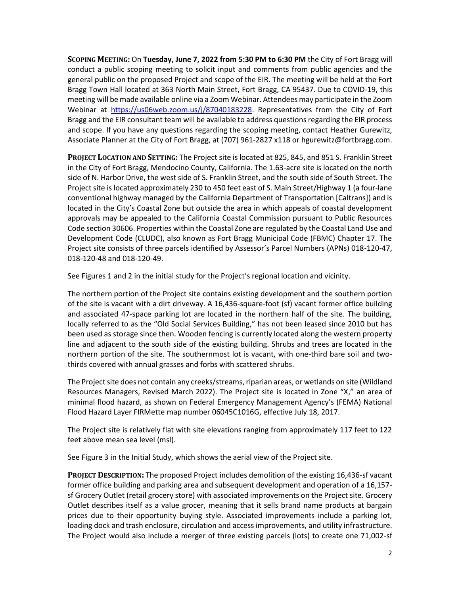**SCOPING MEETING:** On **Tuesday, June 7, 2022 from 5:30 PM to 6:30 PM** the City of Fort Bragg will conduct a public scoping meeting to solicit input and comments from public agencies and the general public on the proposed Project and scope of the EIR. The meeting will be held at the Fort Bragg Town Hall located at 363 North Main Street, Fort Bragg, CA 95437. Due to COVID-19, this meeting will be made available online via a Zoom Webinar. Attendees may participate in the Zoom Webinar at [https://us06web.zoom.us/j/87040183228.](https://us06web.zoom.us/j/87040183228) Representatives from the City of Fort Bragg and the EIR consultant team will be available to address questions regarding the EIR process and scope. If you have any questions regarding the scoping meeting, contact Heather Gurewitz, Associate Planner at the City of Fort Bragg, at (707) 961-2827 x118 or hgurewitz@fortbragg.com.

**PROJECT LOCATION AND SETTING:** The Project site is located at 825, 845, and 851 S. Franklin Street in the City of Fort Bragg, Mendocino County, California. The 1.63-acre site is located on the north side of N. Harbor Drive, the west side of S. Franklin Street, and the south side of South Street. The Project site is located approximately 230 to 450 feet east of S. Main Street/Highway 1 (a four-lane conventional highway managed by the California Department of Transportation [Caltrans]) and is located in the City's Coastal Zone but outside the area in which appeals of coastal development approvals may be appealed to the California Coastal Commission pursuant to Public Resources Code section 30606. Properties within the Coastal Zone are regulated by the Coastal Land Use and Development Code (CLUDC), also known as Fort Bragg Municipal Code (FBMC) Chapter 17. The Project site consists of three parcels identified by Assessor's Parcel Numbers (APNs) 018-120-47, 018-120-48 and 018-120-49.

See Figures 1 and 2 in the initial study for the Project's regional location and vicinity.

The northern portion of the Project site contains existing development and the southern portion of the site is vacant with a dirt driveway. A 16,436-square-foot (sf) vacant former office building and associated 47-space parking lot are located in the northern half of the site. The building, locally referred to as the "Old Social Services Building," has not been leased since 2010 but has been used as storage since then. Wooden fencing is currently located along the western property line and adjacent to the south side of the existing building. Shrubs and trees are located in the northern portion of the site. The southernmost lot is vacant, with one-third bare soil and twothirds covered with annual grasses and forbs with scattered shrubs.

The Project site does not contain any creeks/streams, riparian areas, or wetlands on site (Wildland Resources Managers, Revised March 2022). The Project site is located in Zone "X," an area of minimal flood hazard, as shown on Federal Emergency Management Agency's (FEMA) National Flood Hazard Layer FIRMette map number 06045C1016G, effective July 18, 2017.

The Project site is relatively flat with site elevations ranging from approximately 117 feet to 122 feet above mean sea level (msl).

See Figure 3 in the Initial Study, which shows the aerial view of the Project site.

**PROJECT DESCRIPTION:** The proposed Project includes demolition of the existing 16,436-sf vacant former office building and parking area and subsequent development and operation of a 16,157 sf Grocery Outlet (retail grocery store) with associated improvements on the Project site. Grocery Outlet describes itself as a value grocer, meaning that it sells brand name products at bargain prices due to their opportunity buying style. Associated improvements include a parking lot, loading dock and trash enclosure, circulation and access improvements, and utility infrastructure. The Project would also include a merger of three existing parcels (lots) to create one 71,002-sf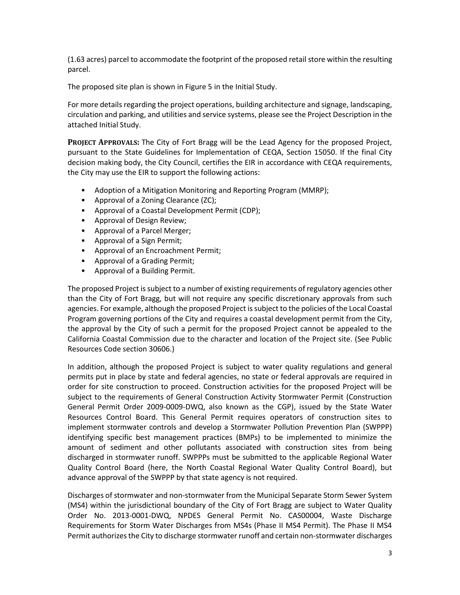(1.63 acres) parcel to accommodate the footprint of the proposed retail store within the resulting parcel.

The proposed site plan is shown in Figure 5 in the Initial Study.

For more details regarding the project operations, building architecture and signage, landscaping, circulation and parking, and utilities and service systems, please see the Project Description in the attached Initial Study.

**PROJECT APPROVALS:** The City of Fort Bragg will be the Lead Agency for the proposed Project, pursuant to the State Guidelines for Implementation of CEQA, Section 15050. If the final City decision making body, the City Council, certifies the EIR in accordance with CEQA requirements, the City may use the EIR to support the following actions:

- Adoption of a Mitigation Monitoring and Reporting Program (MMRP);
- Approval of a Zoning Clearance (ZC);
- Approval of a Coastal Development Permit (CDP);
- Approval of Design Review;
- Approval of a Parcel Merger;
- Approval of a Sign Permit;
- Approval of an Encroachment Permit;
- Approval of a Grading Permit;
- Approval of a Building Permit.

The proposed Project is subject to a number of existing requirements of regulatory agencies other than the City of Fort Bragg, but will not require any specific discretionary approvals from such agencies. For example, although the proposed Project is subject to the policies of the Local Coastal Program governing portions of the City and requires a coastal development permit from the City, the approval by the City of such a permit for the proposed Project cannot be appealed to the California Coastal Commission due to the character and location of the Project site. (See Public Resources Code section 30606.)

In addition, although the proposed Project is subject to water quality regulations and general permits put in place by state and federal agencies, no state or federal approvals are required in order for site construction to proceed. Construction activities for the proposed Project will be subject to the requirements of General Construction Activity Stormwater Permit (Construction General Permit Order 2009-0009-DWQ, also known as the CGP), issued by the State Water Resources Control Board. This General Permit requires operators of construction sites to implement stormwater controls and develop a Stormwater Pollution Prevention Plan (SWPPP) identifying specific best management practices (BMPs) to be implemented to minimize the amount of sediment and other pollutants associated with construction sites from being discharged in stormwater runoff. SWPPPs must be submitted to the applicable Regional Water Quality Control Board (here, the North Coastal Regional Water Quality Control Board), but advance approval of the SWPPP by that state agency is not required.

Discharges of stormwater and non-stormwater from the Municipal Separate Storm Sewer System (MS4) within the jurisdictional boundary of the City of Fort Bragg are subject to Water Quality Order No. 2013-0001-DWQ, NPDES General Permit No. CAS00004, Waste Discharge Requirements for Storm Water Discharges from MS4s (Phase II MS4 Permit). The Phase II MS4 Permit authorizes the City to discharge stormwater runoff and certain non-stormwater discharges